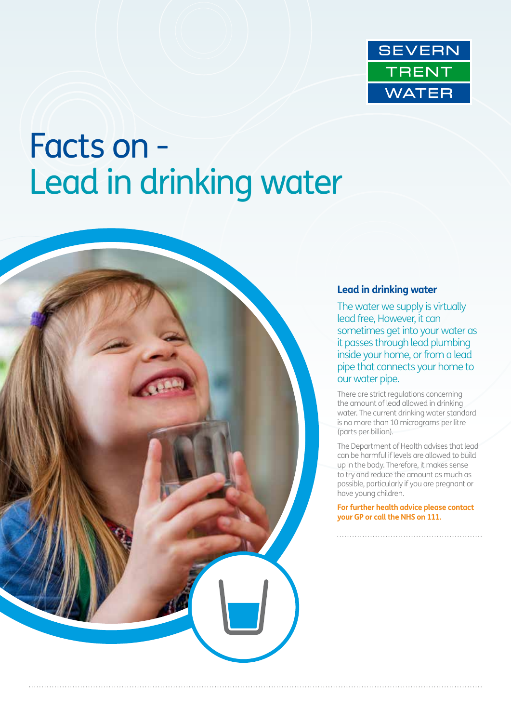

# Facts on - Lead in drinking water



## **Lead in drinking water**

The water we supply is virtually lead free, However, it can sometimes get into your water as it passes through lead plumbing inside your home, or from a lead pipe that connects your home to our water pipe.

There are strict regulations concerning the amount of lead allowed in drinking water. The current drinking water standard is no more than 10 micrograms per litre (parts per billion).

The Department of Health advises that lead can be harmful if levels are allowed to build up in the body. Therefore, it makes sense to try and reduce the amount as much as possible, particularly if you are pregnant or have young children.

**For further health advice please contact your GP or call the NHS on 111.**